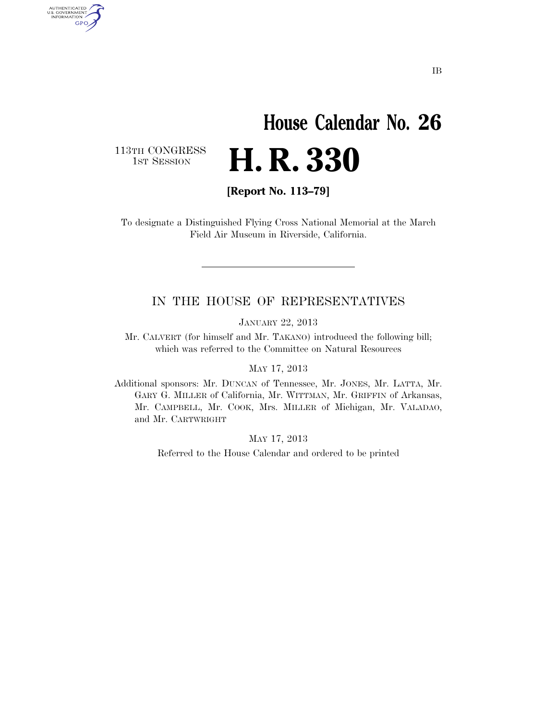## **House Calendar No. 26**  H. R. 330

113TH CONGRESS<br>1st Session

AUTHENTICATED<br>U.S. GOVERNMENT<br>INFORMATION GPO

**[Report No. 113–79]** 

To designate a Distinguished Flying Cross National Memorial at the March Field Air Museum in Riverside, California.

#### IN THE HOUSE OF REPRESENTATIVES

JANUARY 22, 2013

Mr. CALVERT (for himself and Mr. TAKANO) introduced the following bill; which was referred to the Committee on Natural Resources

#### MAY 17, 2013

Additional sponsors: Mr. DUNCAN of Tennessee, Mr. JONES, Mr. LATTA, Mr. GARY G. MILLER of California, Mr. WITTMAN, Mr. GRIFFIN of Arkansas, Mr. CAMPBELL, Mr. COOK, Mrs. MILLER of Michigan, Mr. VALADAO, and Mr. CARTWRIGHT

MAY 17, 2013

Referred to the House Calendar and ordered to be printed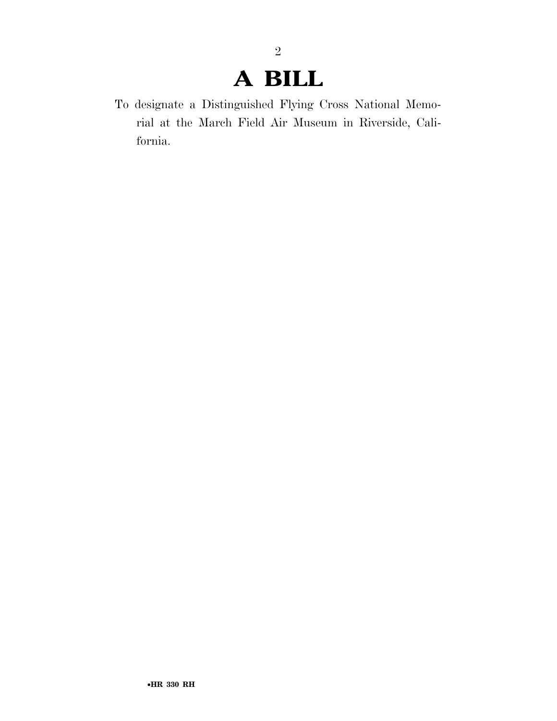### **A BILL**

2

To designate a Distinguished Flying Cross National Memorial at the March Field Air Museum in Riverside, California.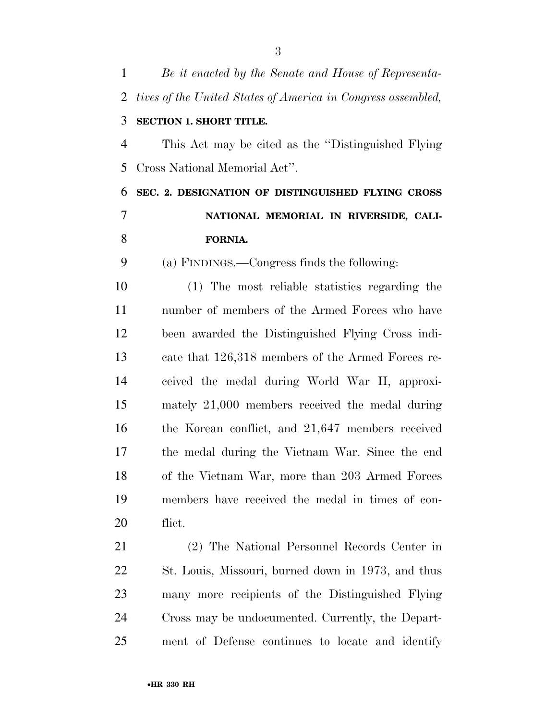| $\mathbf{1}$   | Be it enacted by the Senate and House of Representa-         |
|----------------|--------------------------------------------------------------|
| $\overline{2}$ | tives of the United States of America in Congress assembled, |
| 3              | <b>SECTION 1. SHORT TITLE.</b>                               |
| $\overline{4}$ | This Act may be cited as the "Distinguished Flying"          |
| 5              | Cross National Memorial Act".                                |
| 6              | SEC. 2. DESIGNATION OF DISTINGUISHED FLYING CROSS            |
| $\overline{7}$ | NATIONAL MEMORIAL IN RIVERSIDE, CALI-                        |
| 8              | FORNIA.                                                      |
| 9              | (a) FINDINGS.—Congress finds the following:                  |
| 10             | (1) The most reliable statistics regarding the               |
| 11             | number of members of the Armed Forces who have               |
| 12             | been awarded the Distinguished Flying Cross indi-            |
| 13             | cate that 126,318 members of the Armed Forces re-            |
| 14             | ceived the medal during World War II, approxi-               |
| 15             | mately 21,000 members received the medal during              |
| 16             | the Korean conflict, and 21,647 members received             |
| 17             | the medal during the Vietnam War. Since the end              |
| 18             | of the Vietnam War, more than 203 Armed Forces               |
| 19             | members have received the medal in times of con-             |
| 20             | flict.                                                       |
| 21             | (2) The National Personnel Records Center in                 |
| 22             | St. Louis, Missouri, burned down in 1973, and thus           |
| 23             | many more recipients of the Distinguished Flying             |
| 24             | Cross may be undocumented. Currently, the Depart-            |
| 25             | ment of Defense continues to locate and identify             |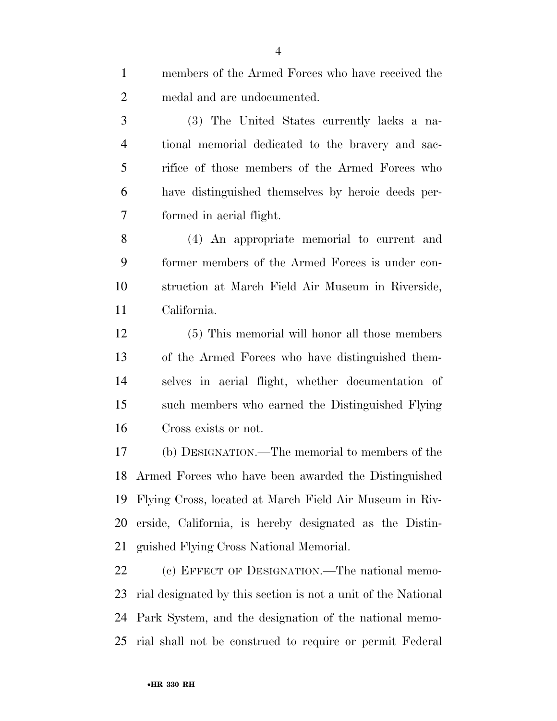| $\mathbf{1}$   | members of the Armed Forces who have received the             |
|----------------|---------------------------------------------------------------|
| $\overline{2}$ | medal and are undocumented.                                   |
| 3              | (3) The United States currently lacks a na-                   |
| $\overline{4}$ | tional memorial dedicated to the bravery and sac-             |
| 5              | rifice of those members of the Armed Forces who               |
| 6              | have distinguished themselves by heroic deeds per-            |
| 7              | formed in aerial flight.                                      |
| 8              | (4) An appropriate memorial to current and                    |
| 9              | former members of the Armed Forces is under con-              |
| 10             | struction at March Field Air Museum in Riverside,             |
| 11             | California.                                                   |
| 12             | (5) This memorial will honor all those members                |
| 13             | of the Armed Forces who have distinguished them-              |
| 14             | selves in aerial flight, whether documentation of             |
| 15             | such members who earned the Distinguished Flying              |
| 16             | Cross exists or not.                                          |
| 17             | (b) DESIGNATION.—The memorial to members of the               |
|                | 18 Armed Forces who have been awarded the Distinguished       |
| 19             | Flying Cross, located at March Field Air Museum in Riv-       |
| 20             | erside, California, is hereby designated as the Distin-       |
| 21             | guished Flying Cross National Memorial.                       |
| 22             | (c) EFFECT OF DESIGNATION.—The national memo-                 |
| 23             | rial designated by this section is not a unit of the National |

rial shall not be construed to require or permit Federal

Park System, and the designation of the national memo-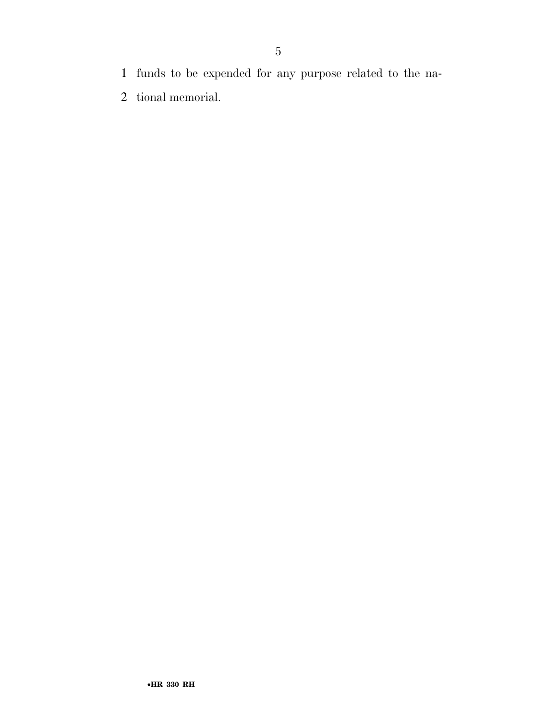- funds to be expended for any purpose related to the na-
- tional memorial.